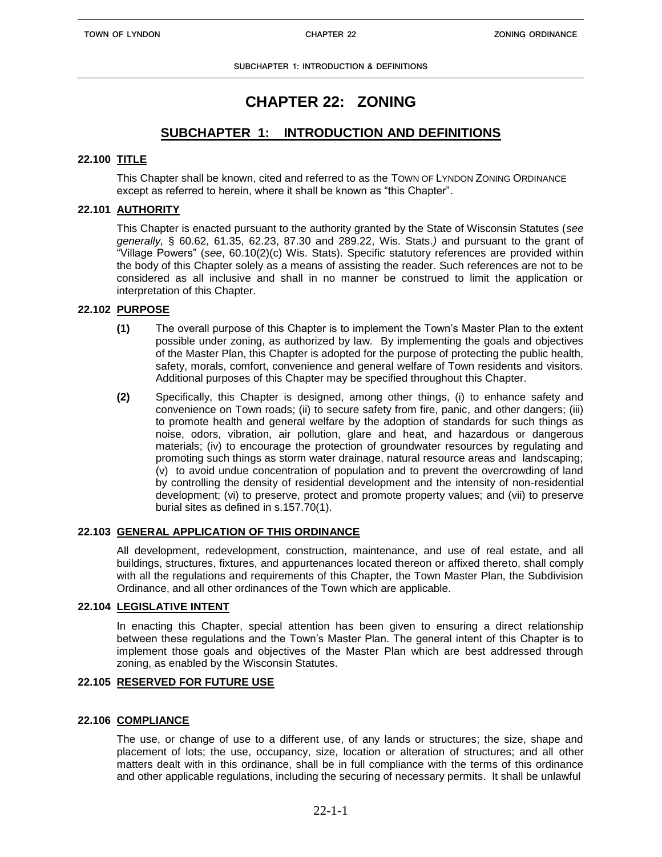# **CHAPTER 22: ZONING**

# **SUBCHAPTER 1: INTRODUCTION AND DEFINITIONS**

# **22.100 TITLE**

 This Chapter shall be known, cited and referred to as the TOWN OF LYNDON ZONING ORDINANCE except as referred to herein, where it shall be known as "this Chapter".

# **22.101 AUTHORITY**

This Chapter is enacted pursuant to the authority granted by the State of Wisconsin Statutes (*see generally,* § 60.62, 61.35, 62.23, 87.30 and 289.22, Wis. Stats.*)* and pursuant to the grant of "Village Powers" (*see*, 60.10(2)(c) Wis. Stats). Specific statutory references are provided within the body of this Chapter solely as a means of assisting the reader. Such references are not to be considered as all inclusive and shall in no manner be construed to limit the application or interpretation of this Chapter.

# **22.102 PURPOSE**

- **(1)** The overall purpose of this Chapter is to implement the Town's Master Plan to the extent possible under zoning, as authorized by law.By implementing the goals and objectives of the Master Plan, this Chapter is adopted for the purpose of protecting the public health, safety, morals, comfort, convenience and general welfare of Town residents and visitors. Additional purposes of this Chapter may be specified throughout this Chapter.
- **(2)** Specifically, this Chapter is designed, among other things, (i) to enhance safety and convenience on Town roads; (ii) to secure safety from fire, panic, and other dangers; (iii) to promote health and general welfare by the adoption of standards for such things as noise, odors, vibration, air pollution, glare and heat, and hazardous or dangerous materials; (iv) to encourage the protection of groundwater resources by regulating and promoting such things as storm water drainage, natural resource areas and landscaping; (v) to avoid undue concentration of population and to prevent the overcrowding of land by controlling the density of residential development and the intensity of non-residential development; (vi) to preserve, protect and promote property values; and (vii) to preserve burial sites as defined in s.157.70(1).

# **22.103 GENERAL APPLICATION OF THIS ORDINANCE**

All development, redevelopment, construction, maintenance, and use of real estate, and all buildings, structures, fixtures, and appurtenances located thereon or affixed thereto, shall comply with all the regulations and requirements of this Chapter, the Town Master Plan, the Subdivision Ordinance, and all other ordinances of the Town which are applicable.

# **22.104 LEGISLATIVE INTENT**

In enacting this Chapter, special attention has been given to ensuring a direct relationship between these regulations and the Town's Master Plan. The general intent of this Chapter is to implement those goals and objectives of the Master Plan which are best addressed through zoning, as enabled by the Wisconsin Statutes.

# **22.105 RESERVED FOR FUTURE USE**

# **22.106 COMPLIANCE**

The use, or change of use to a different use, of any lands or structures; the size, shape and placement of lots; the use, occupancy, size, location or alteration of structures; and all other matters dealt with in this ordinance, shall be in full compliance with the terms of this ordinance and other applicable regulations, including the securing of necessary permits. It shall be unlawful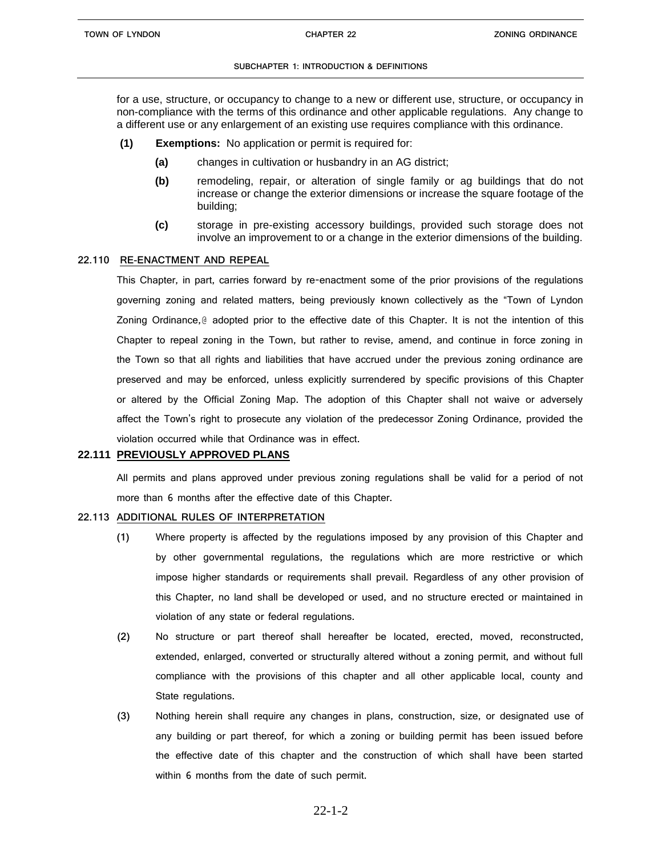for a use, structure, or occupancy to change to a new or different use, structure, or occupancy in non-compliance with the terms of this ordinance and other applicable regulations. Any change to a different use or any enlargement of an existing use requires compliance with this ordinance.

- **(1) Exemptions:** No application or permit is required for:
	- **(a)** changes in cultivation or husbandry in an AG district;
	- **(b)** remodeling, repair, or alteration of single family or ag buildings that do not increase or change the exterior dimensions or increase the square footage of the building;
	- **(c)** storage in pre-existing accessory buildings, provided such storage does not involve an improvement to or a change in the exterior dimensions of the building.

#### **22.110 RE-ENACTMENT AND REPEAL**

This Chapter, in part, carries forward by re-enactment some of the prior provisions of the regulations governing zoning and related matters, being previously known collectively as the "Town of Lyndon Zoning Ordinance,@ adopted prior to the effective date of this Chapter. It is not the intention of this Chapter to repeal zoning in the Town, but rather to revise, amend, and continue in force zoning in the Town so that all rights and liabilities that have accrued under the previous zoning ordinance are preserved and may be enforced, unless explicitly surrendered by specific provisions of this Chapter or altered by the Official Zoning Map. The adoption of this Chapter shall not waive or adversely affect the Town's right to prosecute any violation of the predecessor Zoning Ordinance, provided the violation occurred while that Ordinance was in effect.

#### **22.111 PREVIOUSLY APPROVED PLANS**

All permits and plans approved under previous zoning regulations shall be valid for a period of not more than 6 months after the effective date of this Chapter.

## **22.113 ADDITIONAL RULES OF INTERPRETATION**

- **(1)** Where property is affected by the regulations imposed by any provision of this Chapter and by other governmental regulations, the regulations which are more restrictive or which impose higher standards or requirements shall prevail. Regardless of any other provision of this Chapter, no land shall be developed or used, and no structure erected or maintained in violation of any state or federal regulations.
- **(2)** No structure or part thereof shall hereafter be located, erected, moved, reconstructed, extended, enlarged, converted or structurally altered without a zoning permit, and without full compliance with the provisions of this chapter and all other applicable local, county and State regulations.
- **(3)** Nothing herein shall require any changes in plans, construction, size, or designated use of any building or part thereof, for which a zoning or building permit has been issued before the effective date of this chapter and the construction of which shall have been started within 6 months from the date of such permit.

# 22-1-2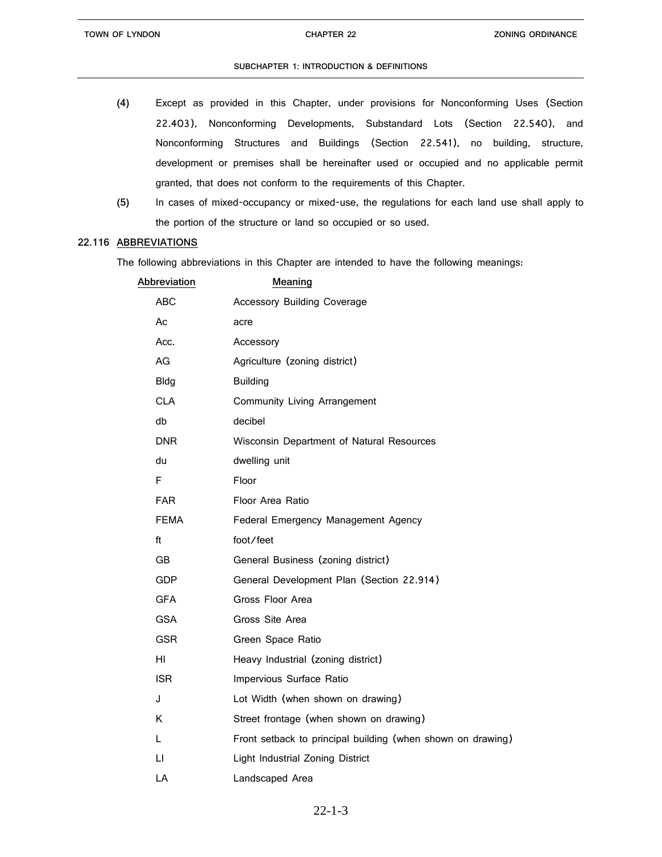- **(4)** Except as provided in this Chapter, under provisions for Nonconforming Uses (Section 22.403), Nonconforming Developments, Substandard Lots (Section 22.540), and Nonconforming Structures and Buildings (Section 22.541), no building, structure, development or premises shall be hereinafter used or occupied and no applicable permit granted, that does not conform to the requirements of this Chapter.
- **(5)** In cases of mixed-occupancy or mixed-use, the regulations for each land use shall apply to the portion of the structure or land so occupied or so used.

#### **22.116 ABBREVIATIONS**

The following abbreviations in this Chapter are intended to have the following meanings:

| Abbreviation | Meaning                                                     |
|--------------|-------------------------------------------------------------|
| <b>ABC</b>   | <b>Accessory Building Coverage</b>                          |
| Ac           | acre                                                        |
| Acc.         | Accessory                                                   |
| AG           | Agriculture (zoning district)                               |
| <b>Bldg</b>  | <b>Building</b>                                             |
| <b>CLA</b>   | <b>Community Living Arrangement</b>                         |
| db           | decibel                                                     |
| <b>DNR</b>   | Wisconsin Department of Natural Resources                   |
| du           | dwelling unit                                               |
| F            | Floor                                                       |
| <b>FAR</b>   | Floor Area Ratio                                            |
| FEMA         | Federal Emergency Management Agency                         |
| ft           | foot/feet                                                   |
| <b>GB</b>    | General Business (zoning district)                          |
| GDP          | General Development Plan (Section 22.914)                   |
| <b>GFA</b>   | Gross Floor Area                                            |
| <b>GSA</b>   | Gross Site Area                                             |
| <b>GSR</b>   | Green Space Ratio                                           |
| HI.          | Heavy Industrial (zoning district)                          |
| <b>ISR</b>   | Impervious Surface Ratio                                    |
| J            | Lot Width (when shown on drawing)                           |
| K            | Street frontage (when shown on drawing)                     |
| L            | Front setback to principal building (when shown on drawing) |
| $\sqcup$     | Light Industrial Zoning District                            |
| LA           | Landscaped Area                                             |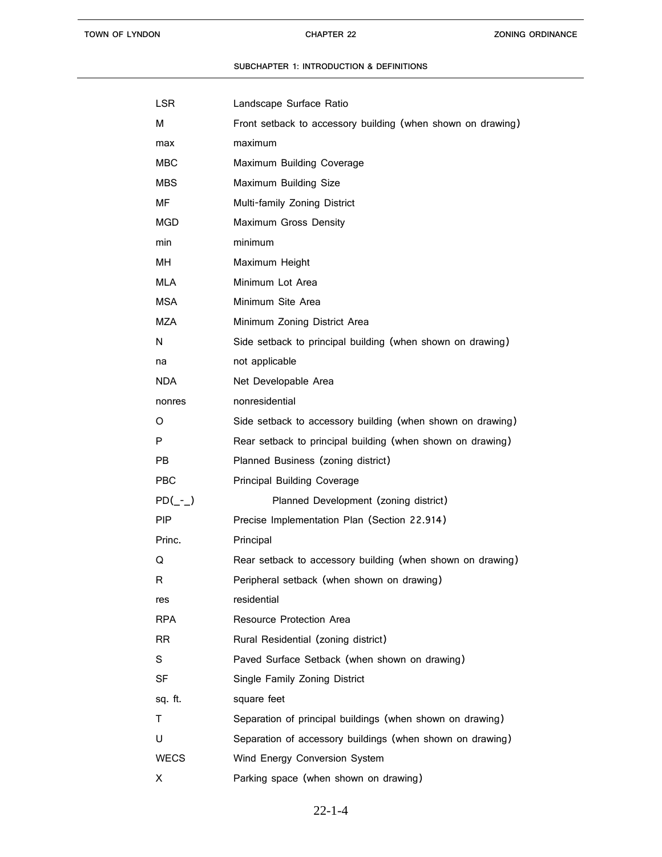| LSR           | Landscape Surface Ratio                                     |
|---------------|-------------------------------------------------------------|
| м             | Front setback to accessory building (when shown on drawing) |
| max           | maximum                                                     |
| MBC           | Maximum Building Coverage                                   |
| <b>MBS</b>    | Maximum Building Size                                       |
| МF            | Multi-family Zoning District                                |
| <b>MGD</b>    | Maximum Gross Density                                       |
| min           | minimum                                                     |
| MН            | Maximum Height                                              |
| <b>MLA</b>    | Minimum Lot Area                                            |
| <b>MSA</b>    | Minimum Site Area                                           |
| MZA           | Minimum Zoning District Area                                |
| N             | Side setback to principal building (when shown on drawing)  |
| na            | not applicable                                              |
| NDA.          | Net Developable Area                                        |
| nonres        | nonresidential                                              |
| O             | Side setback to accessory building (when shown on drawing)  |
| P             | Rear setback to principal building (when shown on drawing)  |
| PB.           | Planned Business (zoning district)                          |
| PBC           | <b>Principal Building Coverage</b>                          |
| $PD(\_ -\_ )$ | Planned Development (zoning district)                       |
| <b>PIP</b>    | Precise Implementation Plan (Section 22.914)                |
| Princ.        | Principal                                                   |
| Q             | Rear setback to accessory building (when shown on drawing)  |
| к             | Peripheral setback (when shown on drawing)                  |
| res           | residential                                                 |
| RPA           | Resource Protection Area                                    |
| <b>RR</b>     | Rural Residential (zoning district)                         |
| S.            | Paved Surface Setback (when shown on drawing)               |
| SF            | Single Family Zoning District                               |
| sq. ft.       | square feet                                                 |
| т             | Separation of principal buildings (when shown on drawing)   |
| U             | Separation of accessory buildings (when shown on drawing)   |
| <b>WECS</b>   | Wind Energy Conversion System                               |
| X             | Parking space (when shown on drawing)                       |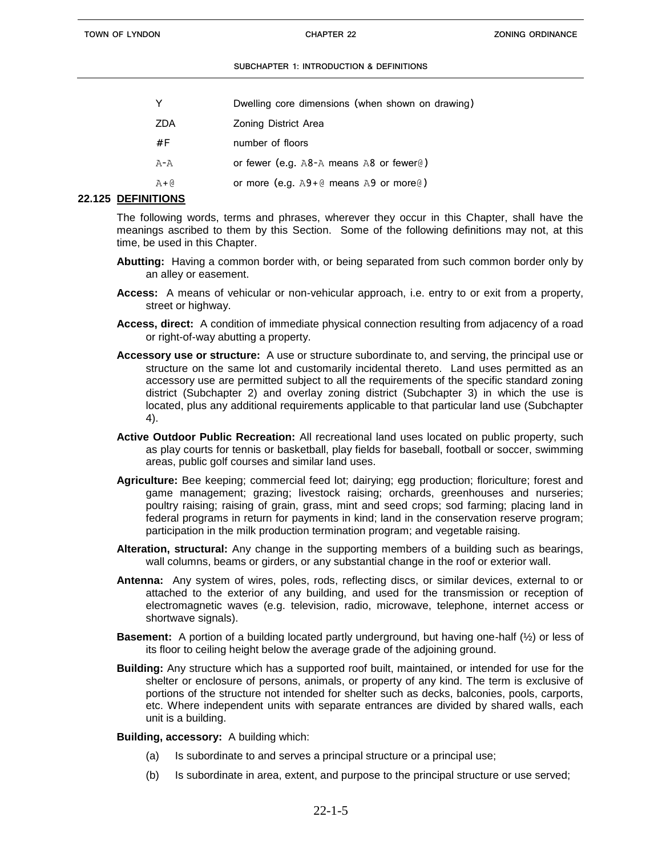| Dwelling core dimensions (when shown on drawing)   |
|----------------------------------------------------|
| Zoning District Area                               |
| number of floors                                   |
| or fewer (e.g. $A8-A$ means A8 or fewer $\theta$ ) |
| or more (e.g. $A9+@$ means A9 or more $@$ )        |
|                                                    |

# **22.125 DEFINITIONS**

The following words, terms and phrases, wherever they occur in this Chapter, shall have the meanings ascribed to them by this Section. Some of the following definitions may not, at this time, be used in this Chapter.

- **Abutting:** Having a common border with, or being separated from such common border only by an alley or easement.
- **Access:** A means of vehicular or non-vehicular approach, i.e. entry to or exit from a property, street or highway.
- **Access, direct:** A condition of immediate physical connection resulting from adjacency of a road or right-of-way abutting a property.
- **Accessory use or structure:** A use or structure subordinate to, and serving, the principal use or structure on the same lot and customarily incidental thereto. Land uses permitted as an accessory use are permitted subject to all the requirements of the specific standard zoning district (Subchapter 2) and overlay zoning district (Subchapter 3) in which the use is located, plus any additional requirements applicable to that particular land use (Subchapter 4).
- **Active Outdoor Public Recreation:** All recreational land uses located on public property, such as play courts for tennis or basketball, play fields for baseball, football or soccer, swimming areas, public golf courses and similar land uses.
- **Agriculture:** Bee keeping; commercial feed lot; dairying; egg production; floriculture; forest and game management; grazing; livestock raising; orchards, greenhouses and nurseries; poultry raising; raising of grain, grass, mint and seed crops; sod farming; placing land in federal programs in return for payments in kind; land in the conservation reserve program; participation in the milk production termination program; and vegetable raising.
- **Alteration, structural:** Any change in the supporting members of a building such as bearings, wall columns, beams or girders, or any substantial change in the roof or exterior wall.
- **Antenna:** Any system of wires, poles, rods, reflecting discs, or similar devices, external to or attached to the exterior of any building, and used for the transmission or reception of electromagnetic waves (e.g. television, radio, microwave, telephone, internet access or shortwave signals).
- **Basement:** A portion of a building located partly underground, but having one-half (½) or less of its floor to ceiling height below the average grade of the adjoining ground.
- **Building:** Any structure which has a supported roof built, maintained, or intended for use for the shelter or enclosure of persons, animals, or property of any kind. The term is exclusive of portions of the structure not intended for shelter such as decks, balconies, pools, carports, etc. Where independent units with separate entrances are divided by shared walls, each unit is a building.

# **Building, accessory:** A building which:

- (a) Is subordinate to and serves a principal structure or a principal use;
- (b) Is subordinate in area, extent, and purpose to the principal structure or use served;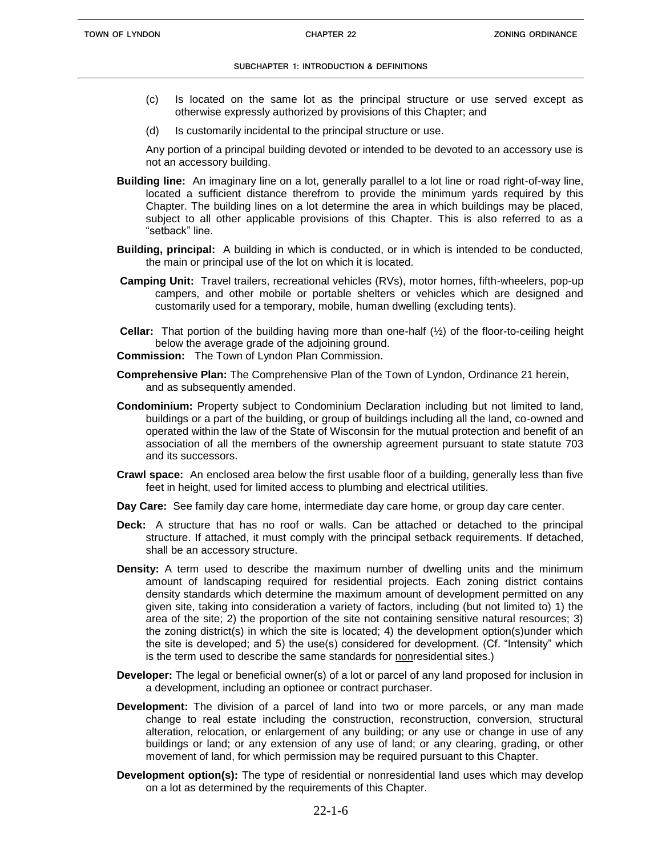- (c) Is located on the same lot as the principal structure or use served except as otherwise expressly authorized by provisions of this Chapter; and
- (d) Is customarily incidental to the principal structure or use.

Any portion of a principal building devoted or intended to be devoted to an accessory use is not an accessory building.

- **Building line:** An imaginary line on a lot, generally parallel to a lot line or road right-of-way line, located a sufficient distance therefrom to provide the minimum yards required by this Chapter. The building lines on a lot determine the area in which buildings may be placed, subject to all other applicable provisions of this Chapter. This is also referred to as a "setback" line.
- **Building, principal:** A building in which is conducted, or in which is intended to be conducted, the main or principal use of the lot on which it is located.
- **Camping Unit:** Travel trailers, recreational vehicles (RVs), motor homes, fifth-wheelers, pop-up campers, and other mobile or portable shelters or vehicles which are designed and customarily used for a temporary, mobile, human dwelling (excluding tents).
- **Cellar:** That portion of the building having more than one-half (½) of the floor-to-ceiling height below the average grade of the adjoining ground.
- **Commission:** The Town of Lyndon Plan Commission.
- **Comprehensive Plan:** The Comprehensive Plan of the Town of Lyndon, Ordinance 21 herein, and as subsequently amended.
- **Condominium:** Property subject to Condominium Declaration including but not limited to land, buildings or a part of the building, or group of buildings including all the land, co-owned and operated within the law of the State of Wisconsin for the mutual protection and benefit of an association of all the members of the ownership agreement pursuant to state statute 703 and its successors.
- **Crawl space:** An enclosed area below the first usable floor of a building, generally less than five feet in height, used for limited access to plumbing and electrical utilities.
- **Day Care:** See family day care home, intermediate day care home, or group day care center.
- **Deck:** A structure that has no roof or walls. Can be attached or detached to the principal structure. If attached, it must comply with the principal setback requirements. If detached, shall be an accessory structure.
- **Density:** A term used to describe the maximum number of dwelling units and the minimum amount of landscaping required for residential projects. Each zoning district contains density standards which determine the maximum amount of development permitted on any given site, taking into consideration a variety of factors, including (but not limited to) 1) the area of the site; 2) the proportion of the site not containing sensitive natural resources; 3) the zoning district(s) in which the site is located; 4) the development option(s)under which the site is developed; and 5) the use(s) considered for development. (Cf. "Intensity" which is the term used to describe the same standards for nonresidential sites.)
- **Developer:** The legal or beneficial owner(s) of a lot or parcel of any land proposed for inclusion in a development, including an optionee or contract purchaser.
- **Development:** The division of a parcel of land into two or more parcels, or any man made change to real estate including the construction, reconstruction, conversion, structural alteration, relocation, or enlargement of any building; or any use or change in use of any buildings or land; or any extension of any use of land; or any clearing, grading, or other movement of land, for which permission may be required pursuant to this Chapter.
- **Development option(s):** The type of residential or nonresidential land uses which may develop on a lot as determined by the requirements of this Chapter.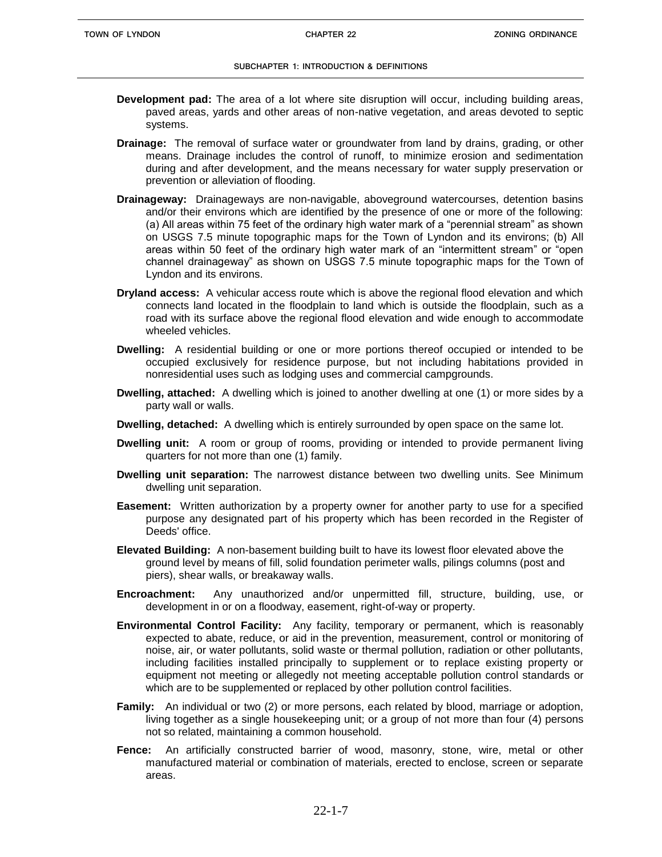- **Development pad:** The area of a lot where site disruption will occur, including building areas, paved areas, yards and other areas of non-native vegetation, and areas devoted to septic systems.
- **Drainage:** The removal of surface water or groundwater from land by drains, grading, or other means. Drainage includes the control of runoff, to minimize erosion and sedimentation during and after development, and the means necessary for water supply preservation or prevention or alleviation of flooding.
- **Drainageway:** Drainageways are non-navigable, aboveground watercourses, detention basins and/or their environs which are identified by the presence of one or more of the following: (a) All areas within 75 feet of the ordinary high water mark of a "perennial stream" as shown on USGS 7.5 minute topographic maps for the Town of Lyndon and its environs; (b) All areas within 50 feet of the ordinary high water mark of an "intermittent stream" or "open channel drainageway" as shown on USGS 7.5 minute topographic maps for the Town of Lyndon and its environs.
- **Dryland access:** A vehicular access route which is above the regional flood elevation and which connects land located in the floodplain to land which is outside the floodplain, such as a road with its surface above the regional flood elevation and wide enough to accommodate wheeled vehicles.
- **Dwelling:** A residential building or one or more portions thereof occupied or intended to be occupied exclusively for residence purpose, but not including habitations provided in nonresidential uses such as lodging uses and commercial campgrounds.
- **Dwelling, attached:** A dwelling which is joined to another dwelling at one (1) or more sides by a party wall or walls.
- **Dwelling, detached:** A dwelling which is entirely surrounded by open space on the same lot.
- **Dwelling unit:** A room or group of rooms, providing or intended to provide permanent living quarters for not more than one (1) family.
- **Dwelling unit separation:** The narrowest distance between two dwelling units. See Minimum dwelling unit separation.
- **Easement:** Written authorization by a property owner for another party to use for a specified purpose any designated part of his property which has been recorded in the Register of Deeds' office.
- **Elevated Building:** A non-basement building built to have its lowest floor elevated above the ground level by means of fill, solid foundation perimeter walls, pilings columns (post and piers), shear walls, or breakaway walls.
- **Encroachment:** Any unauthorized and/or unpermitted fill, structure, building, use, or development in or on a floodway, easement, right-of-way or property.
- **Environmental Control Facility:** Any facility, temporary or permanent, which is reasonably expected to abate, reduce, or aid in the prevention, measurement, control or monitoring of noise, air, or water pollutants, solid waste or thermal pollution, radiation or other pollutants, including facilities installed principally to supplement or to replace existing property or equipment not meeting or allegedly not meeting acceptable pollution control standards or which are to be supplemented or replaced by other pollution control facilities.
- **Family:** An individual or two (2) or more persons, each related by blood, marriage or adoption, living together as a single housekeeping unit; or a group of not more than four (4) persons not so related, maintaining a common household.
- **Fence:** An artificially constructed barrier of wood, masonry, stone, wire, metal or other manufactured material or combination of materials, erected to enclose, screen or separate areas.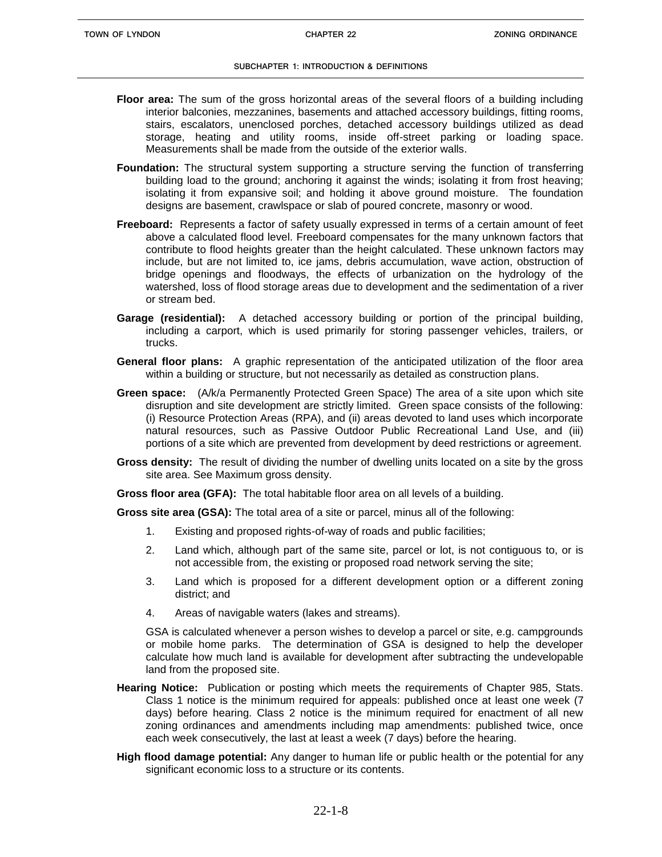- **Floor area:** The sum of the gross horizontal areas of the several floors of a building including interior balconies, mezzanines, basements and attached accessory buildings, fitting rooms, stairs, escalators, unenclosed porches, detached accessory buildings utilized as dead storage, heating and utility rooms, inside off-street parking or loading space. Measurements shall be made from the outside of the exterior walls.
- **Foundation:** The structural system supporting a structure serving the function of transferring building load to the ground; anchoring it against the winds; isolating it from frost heaving; isolating it from expansive soil; and holding it above ground moisture. The foundation designs are basement, crawlspace or slab of poured concrete, masonry or wood.
- **Freeboard:** Represents a factor of safety usually expressed in terms of a certain amount of feet above a calculated flood level. Freeboard compensates for the many unknown factors that contribute to flood heights greater than the height calculated. These unknown factors may include, but are not limited to, ice jams, debris accumulation, wave action, obstruction of bridge openings and floodways, the effects of urbanization on the hydrology of the watershed, loss of flood storage areas due to development and the sedimentation of a river or stream bed.
- **Garage (residential):** A detached accessory building or portion of the principal building, including a carport, which is used primarily for storing passenger vehicles, trailers, or trucks.
- **General floor plans:** A graphic representation of the anticipated utilization of the floor area within a building or structure, but not necessarily as detailed as construction plans.
- **Green space:** (A/k/a Permanently Protected Green Space) The area of a site upon which site disruption and site development are strictly limited. Green space consists of the following: (i) Resource Protection Areas (RPA), and (ii) areas devoted to land uses which incorporate natural resources, such as Passive Outdoor Public Recreational Land Use, and (iii) portions of a site which are prevented from development by deed restrictions or agreement.
- **Gross density:** The result of dividing the number of dwelling units located on a site by the gross site area. See Maximum gross density.

**Gross floor area (GFA):** The total habitable floor area on all levels of a building.

**Gross site area (GSA):** The total area of a site or parcel, minus all of the following:

- 1. Existing and proposed rights-of-way of roads and public facilities;
- 2. Land which, although part of the same site, parcel or lot, is not contiguous to, or is not accessible from, the existing or proposed road network serving the site;
- 3. Land which is proposed for a different development option or a different zoning district; and
- 4. Areas of navigable waters (lakes and streams).

GSA is calculated whenever a person wishes to develop a parcel or site, e.g. campgrounds or mobile home parks. The determination of GSA is designed to help the developer calculate how much land is available for development after subtracting the undevelopable land from the proposed site.

- **Hearing Notice:** Publication or posting which meets the requirements of Chapter 985, Stats. Class 1 notice is the minimum required for appeals: published once at least one week (7 days) before hearing. Class 2 notice is the minimum required for enactment of all new zoning ordinances and amendments including map amendments: published twice, once each week consecutively, the last at least a week (7 days) before the hearing.
- **High flood damage potential:** Any danger to human life or public health or the potential for any significant economic loss to a structure or its contents.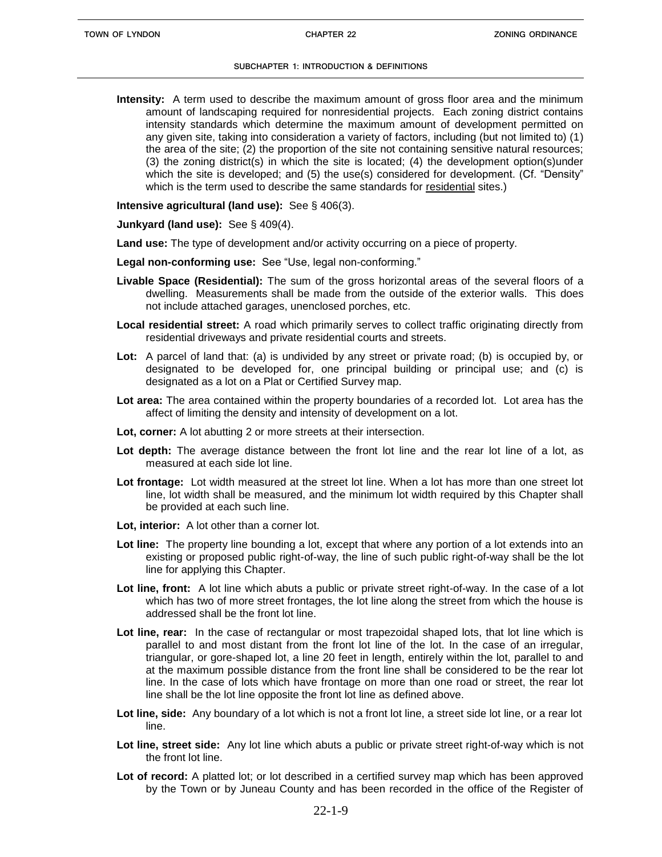**Intensity:** A term used to describe the maximum amount of gross floor area and the minimum amount of landscaping required for nonresidential projects. Each zoning district contains intensity standards which determine the maximum amount of development permitted on any given site, taking into consideration a variety of factors, including (but not limited to) (1) the area of the site; (2) the proportion of the site not containing sensitive natural resources; (3) the zoning district(s) in which the site is located; (4) the development option(s)under which the site is developed; and (5) the use(s) considered for development. (Cf. "Density" which is the term used to describe the same standards for residential sites.)

**Intensive agricultural (land use):** See § 406(3).

**Junkyard (land use):** See § 409(4).

- **Land use:** The type of development and/or activity occurring on a piece of property.
- **Legal non-conforming use:** See "Use, legal non-conforming."
- **Livable Space (Residential):** The sum of the gross horizontal areas of the several floors of a dwelling. Measurements shall be made from the outside of the exterior walls. This does not include attached garages, unenclosed porches, etc.
- **Local residential street:** A road which primarily serves to collect traffic originating directly from residential driveways and private residential courts and streets.
- **Lot:** A parcel of land that: (a) is undivided by any street or private road; (b) is occupied by, or designated to be developed for, one principal building or principal use; and (c) is designated as a lot on a Plat or Certified Survey map.
- **Lot area:** The area contained within the property boundaries of a recorded lot. Lot area has the affect of limiting the density and intensity of development on a lot.
- **Lot, corner:** A lot abutting 2 or more streets at their intersection.
- **Lot depth:** The average distance between the front lot line and the rear lot line of a lot, as measured at each side lot line.
- **Lot frontage:** Lot width measured at the street lot line. When a lot has more than one street lot line, lot width shall be measured, and the minimum lot width required by this Chapter shall be provided at each such line.
- **Lot, interior:** A lot other than a corner lot.
- **Lot line:** The property line bounding a lot, except that where any portion of a lot extends into an existing or proposed public right-of-way, the line of such public right-of-way shall be the lot line for applying this Chapter.
- **Lot line, front:** A lot line which abuts a public or private street right-of-way. In the case of a lot which has two of more street frontages, the lot line along the street from which the house is addressed shall be the front lot line.
- **Lot line, rear:** In the case of rectangular or most trapezoidal shaped lots, that lot line which is parallel to and most distant from the front lot line of the lot. In the case of an irregular, triangular, or gore-shaped lot, a line 20 feet in length, entirely within the lot, parallel to and at the maximum possible distance from the front line shall be considered to be the rear lot line. In the case of lots which have frontage on more than one road or street, the rear lot line shall be the lot line opposite the front lot line as defined above.
- **Lot line, side:** Any boundary of a lot which is not a front lot line, a street side lot line, or a rear lot line.
- **Lot line, street side:** Any lot line which abuts a public or private street right-of-way which is not the front lot line.
- **Lot of record:** A platted lot; or lot described in a certified survey map which has been approved by the Town or by Juneau County and has been recorded in the office of the Register of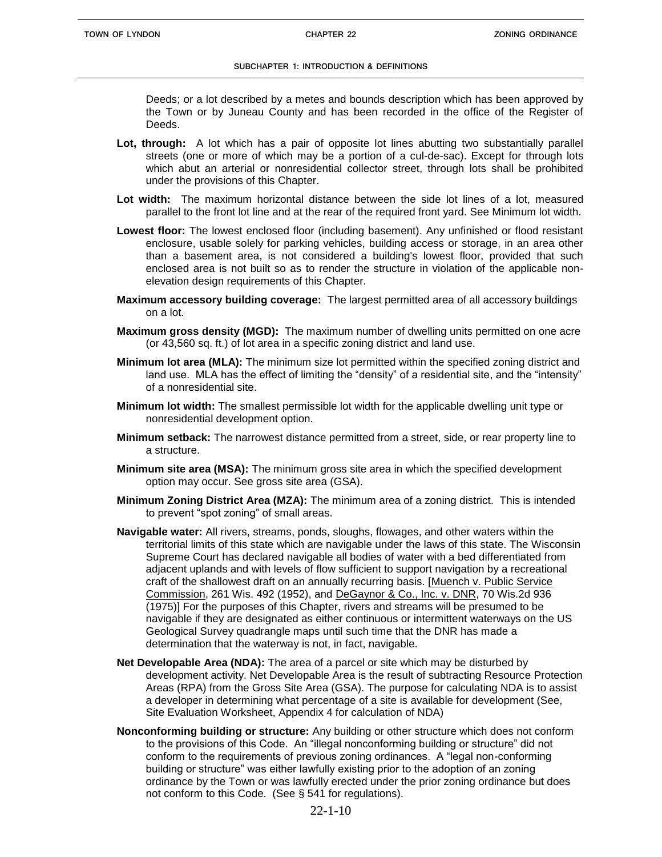Deeds; or a lot described by a metes and bounds description which has been approved by the Town or by Juneau County and has been recorded in the office of the Register of Deeds.

- **Lot, through:** A lot which has a pair of opposite lot lines abutting two substantially parallel streets (one or more of which may be a portion of a cul-de-sac). Except for through lots which abut an arterial or nonresidential collector street, through lots shall be prohibited under the provisions of this Chapter.
- **Lot width:** The maximum horizontal distance between the side lot lines of a lot, measured parallel to the front lot line and at the rear of the required front yard. See Minimum lot width.
- **Lowest floor:** The lowest enclosed floor (including basement). Any unfinished or flood resistant enclosure, usable solely for parking vehicles, building access or storage, in an area other than a basement area, is not considered a building's lowest floor, provided that such enclosed area is not built so as to render the structure in violation of the applicable nonelevation design requirements of this Chapter.
- **Maximum accessory building coverage:** The largest permitted area of all accessory buildings on a lot.
- **Maximum gross density (MGD):** The maximum number of dwelling units permitted on one acre (or 43,560 sq. ft.) of lot area in a specific zoning district and land use.
- **Minimum lot area (MLA):** The minimum size lot permitted within the specified zoning district and land use. MLA has the effect of limiting the "density" of a residential site, and the "intensity" of a nonresidential site.
- **Minimum lot width:** The smallest permissible lot width for the applicable dwelling unit type or nonresidential development option.
- **Minimum setback:** The narrowest distance permitted from a street, side, or rear property line to a structure.
- **Minimum site area (MSA):** The minimum gross site area in which the specified development option may occur. See gross site area (GSA).
- **Minimum Zoning District Area (MZA):** The minimum area of a zoning district. This is intended to prevent "spot zoning" of small areas.
- **Navigable water:** All rivers, streams, ponds, sloughs, flowages, and other waters within the territorial limits of this state which are navigable under the laws of this state. The Wisconsin Supreme Court has declared navigable all bodies of water with a bed differentiated from adjacent uplands and with levels of flow sufficient to support navigation by a recreational craft of the shallowest draft on an annually recurring basis. [Muench v. Public Service Commission, 261 Wis. 492 (1952), and DeGaynor & Co., Inc. v. DNR, 70 Wis.2d 936 (1975)] For the purposes of this Chapter, rivers and streams will be presumed to be navigable if they are designated as either continuous or intermittent waterways on the US Geological Survey quadrangle maps until such time that the DNR has made a determination that the waterway is not, in fact, navigable.
- **Net Developable Area (NDA):** The area of a parcel or site which may be disturbed by development activity. Net Developable Area is the result of subtracting Resource Protection Areas (RPA) from the Gross Site Area (GSA). The purpose for calculating NDA is to assist a developer in determining what percentage of a site is available for development (See, Site Evaluation Worksheet, Appendix 4 for calculation of NDA)
- **Nonconforming building or structure:** Any building or other structure which does not conform to the provisions of this Code. An "illegal nonconforming building or structure" did not conform to the requirements of previous zoning ordinances. A "legal non-conforming building or structure" was either lawfully existing prior to the adoption of an zoning ordinance by the Town or was lawfully erected under the prior zoning ordinance but does not conform to this Code. (See § 541 for regulations).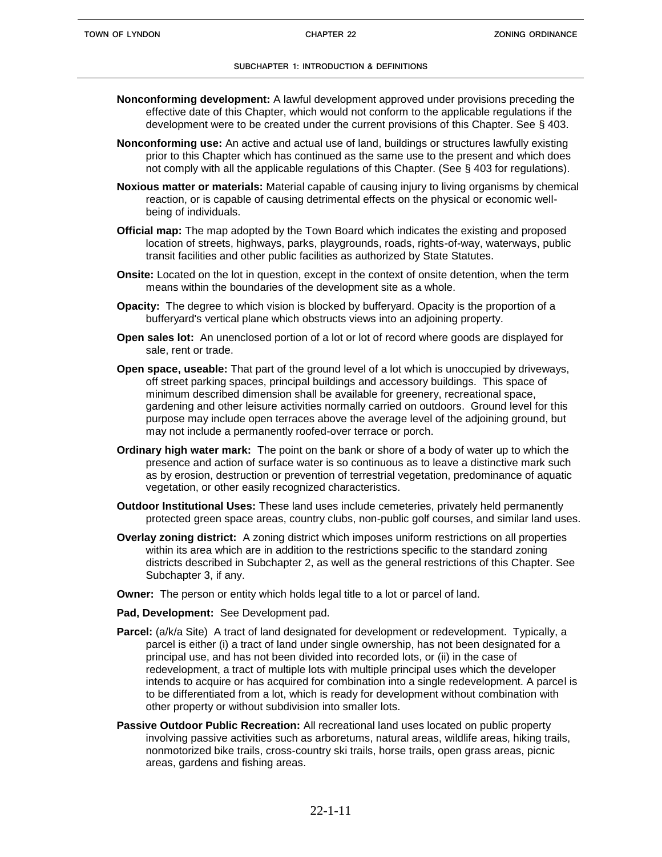- **Nonconforming development:** A lawful development approved under provisions preceding the effective date of this Chapter, which would not conform to the applicable regulations if the development were to be created under the current provisions of this Chapter. See § 403.
- **Nonconforming use:** An active and actual use of land, buildings or structures lawfully existing prior to this Chapter which has continued as the same use to the present and which does not comply with all the applicable regulations of this Chapter. (See § 403 for regulations).
- **Noxious matter or materials:** Material capable of causing injury to living organisms by chemical reaction, or is capable of causing detrimental effects on the physical or economic wellbeing of individuals.
- **Official map:** The map adopted by the Town Board which indicates the existing and proposed location of streets, highways, parks, playgrounds, roads, rights-of-way, waterways, public transit facilities and other public facilities as authorized by State Statutes.
- **Onsite:** Located on the lot in question, except in the context of onsite detention, when the term means within the boundaries of the development site as a whole.
- **Opacity:** The degree to which vision is blocked by bufferyard. Opacity is the proportion of a bufferyard's vertical plane which obstructs views into an adjoining property.
- **Open sales lot:** An unenclosed portion of a lot or lot of record where goods are displayed for sale, rent or trade.
- **Open space, useable:** That part of the ground level of a lot which is unoccupied by driveways, off street parking spaces, principal buildings and accessory buildings. This space of minimum described dimension shall be available for greenery, recreational space, gardening and other leisure activities normally carried on outdoors. Ground level for this purpose may include open terraces above the average level of the adjoining ground, but may not include a permanently roofed-over terrace or porch.
- **Ordinary high water mark:** The point on the bank or shore of a body of water up to which the presence and action of surface water is so continuous as to leave a distinctive mark such as by erosion, destruction or prevention of terrestrial vegetation, predominance of aquatic vegetation, or other easily recognized characteristics.
- **Outdoor Institutional Uses:** These land uses include cemeteries, privately held permanently protected green space areas, country clubs, non-public golf courses, and similar land uses.
- **Overlay zoning district:** A zoning district which imposes uniform restrictions on all properties within its area which are in addition to the restrictions specific to the standard zoning districts described in Subchapter 2, as well as the general restrictions of this Chapter. See Subchapter 3, if any.
- **Owner:** The person or entity which holds legal title to a lot or parcel of land.
- **Pad, Development:** See Development pad.
- Parcel: (a/k/a Site) A tract of land designated for development or redevelopment. Typically, a parcel is either (i) a tract of land under single ownership, has not been designated for a principal use, and has not been divided into recorded lots, or (ii) in the case of redevelopment, a tract of multiple lots with multiple principal uses which the developer intends to acquire or has acquired for combination into a single redevelopment. A parcel is to be differentiated from a lot, which is ready for development without combination with other property or without subdivision into smaller lots.
- **Passive Outdoor Public Recreation:** All recreational land uses located on public property involving passive activities such as arboretums, natural areas, wildlife areas, hiking trails, nonmotorized bike trails, cross-country ski trails, horse trails, open grass areas, picnic areas, gardens and fishing areas.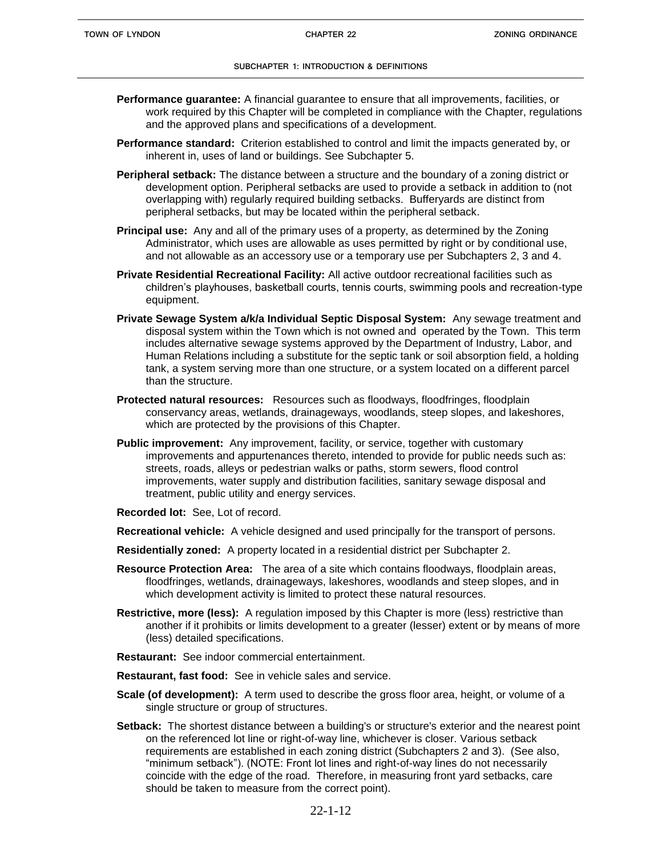- **Performance guarantee:** A financial guarantee to ensure that all improvements, facilities, or work required by this Chapter will be completed in compliance with the Chapter, regulations and the approved plans and specifications of a development.
- **Performance standard:** Criterion established to control and limit the impacts generated by, or inherent in, uses of land or buildings. See Subchapter 5.
- **Peripheral setback:** The distance between a structure and the boundary of a zoning district or development option. Peripheral setbacks are used to provide a setback in addition to (not overlapping with) regularly required building setbacks. Bufferyards are distinct from peripheral setbacks, but may be located within the peripheral setback.
- **Principal use:** Any and all of the primary uses of a property, as determined by the Zoning Administrator, which uses are allowable as uses permitted by right or by conditional use, and not allowable as an accessory use or a temporary use per Subchapters 2, 3 and 4.
- **Private Residential Recreational Facility:** All active outdoor recreational facilities such as children's playhouses, basketball courts, tennis courts, swimming pools and recreation-type equipment.
- **Private Sewage System a/k/a Individual Septic Disposal System:** Any sewage treatment and disposal system within the Town which is not owned and operated by the Town. This term includes alternative sewage systems approved by the Department of Industry, Labor, and Human Relations including a substitute for the septic tank or soil absorption field, a holding tank, a system serving more than one structure, or a system located on a different parcel than the structure.
- **Protected natural resources:** Resources such as floodways, floodfringes, floodplain conservancy areas, wetlands, drainageways, woodlands, steep slopes, and lakeshores, which are protected by the provisions of this Chapter.
- **Public improvement:** Any improvement, facility, or service, together with customary improvements and appurtenances thereto, intended to provide for public needs such as: streets, roads, alleys or pedestrian walks or paths, storm sewers, flood control improvements, water supply and distribution facilities, sanitary sewage disposal and treatment, public utility and energy services.
- **Recorded lot:** See, Lot of record.
- **Recreational vehicle:** A vehicle designed and used principally for the transport of persons.
- **Residentially zoned:** A property located in a residential district per Subchapter 2.
- **Resource Protection Area:** The area of a site which contains floodways, floodplain areas, floodfringes, wetlands, drainageways, lakeshores, woodlands and steep slopes, and in which development activity is limited to protect these natural resources.
- **Restrictive, more (less):** A regulation imposed by this Chapter is more (less) restrictive than another if it prohibits or limits development to a greater (lesser) extent or by means of more (less) detailed specifications.
- **Restaurant:** See indoor commercial entertainment.
- **Restaurant, fast food:** See in vehicle sales and service.
- **Scale (of development):** A term used to describe the gross floor area, height, or volume of a single structure or group of structures.
- **Setback:** The shortest distance between a building's or structure's exterior and the nearest point on the referenced lot line or right-of-way line, whichever is closer. Various setback requirements are established in each zoning district (Subchapters 2 and 3). (See also, "minimum setback"). (NOTE: Front lot lines and right-of-way lines do not necessarily coincide with the edge of the road. Therefore, in measuring front yard setbacks, care should be taken to measure from the correct point).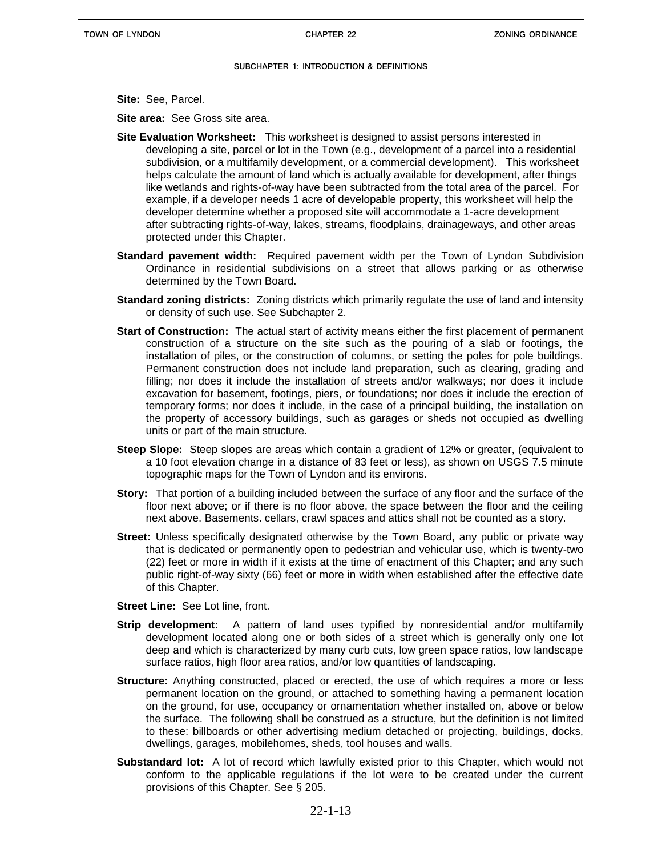**Site:** See, Parcel.

**Site area:** See Gross site area.

- **Site Evaluation Worksheet:** This worksheet is designed to assist persons interested in developing a site, parcel or lot in the Town (e.g., development of a parcel into a residential subdivision, or a multifamily development, or a commercial development). This worksheet helps calculate the amount of land which is actually available for development, after things like wetlands and rights-of-way have been subtracted from the total area of the parcel. For example, if a developer needs 1 acre of developable property, this worksheet will help the developer determine whether a proposed site will accommodate a 1-acre development after subtracting rights-of-way, lakes, streams, floodplains, drainageways, and other areas protected under this Chapter.
- **Standard pavement width:** Required pavement width per the Town of Lyndon Subdivision Ordinance in residential subdivisions on a street that allows parking or as otherwise determined by the Town Board.
- **Standard zoning districts:** Zoning districts which primarily regulate the use of land and intensity or density of such use. See Subchapter 2.
- **Start of Construction:** The actual start of activity means either the first placement of permanent construction of a structure on the site such as the pouring of a slab or footings, the installation of piles, or the construction of columns, or setting the poles for pole buildings. Permanent construction does not include land preparation, such as clearing, grading and filling; nor does it include the installation of streets and/or walkways; nor does it include excavation for basement, footings, piers, or foundations; nor does it include the erection of temporary forms; nor does it include, in the case of a principal building, the installation on the property of accessory buildings, such as garages or sheds not occupied as dwelling units or part of the main structure.
- **Steep Slope:** Steep slopes are areas which contain a gradient of 12% or greater, (equivalent to a 10 foot elevation change in a distance of 83 feet or less), as shown on USGS 7.5 minute topographic maps for the Town of Lyndon and its environs.
- **Story:** That portion of a building included between the surface of any floor and the surface of the floor next above; or if there is no floor above, the space between the floor and the ceiling next above. Basements. cellars, crawl spaces and attics shall not be counted as a story.
- **Street:** Unless specifically designated otherwise by the Town Board, any public or private way that is dedicated or permanently open to pedestrian and vehicular use, which is twenty-two (22) feet or more in width if it exists at the time of enactment of this Chapter; and any such public right-of-way sixty (66) feet or more in width when established after the effective date of this Chapter.
- **Street Line:** See Lot line, front.
- **Strip development:** A pattern of land uses typified by nonresidential and/or multifamily development located along one or both sides of a street which is generally only one lot deep and which is characterized by many curb cuts, low green space ratios, low landscape surface ratios, high floor area ratios, and/or low quantities of landscaping.
- **Structure:** Anything constructed, placed or erected, the use of which requires a more or less permanent location on the ground, or attached to something having a permanent location on the ground, for use, occupancy or ornamentation whether installed on, above or below the surface. The following shall be construed as a structure, but the definition is not limited to these: billboards or other advertising medium detached or projecting, buildings, docks, dwellings, garages, mobilehomes, sheds, tool houses and walls.
- **Substandard lot:** A lot of record which lawfully existed prior to this Chapter, which would not conform to the applicable regulations if the lot were to be created under the current provisions of this Chapter. See § 205.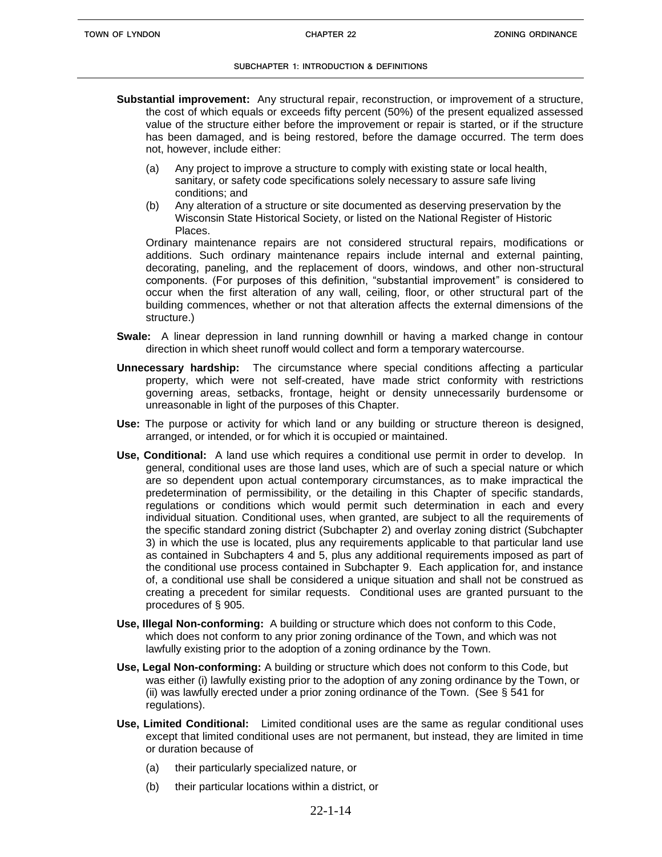- **Substantial improvement:** Any structural repair, reconstruction, or improvement of a structure, the cost of which equals or exceeds fifty percent (50%) of the present equalized assessed value of the structure either before the improvement or repair is started, or if the structure has been damaged, and is being restored, before the damage occurred. The term does not, however, include either:
	- (a) Any project to improve a structure to comply with existing state or local health, sanitary, or safety code specifications solely necessary to assure safe living conditions; and
	- (b) Any alteration of a structure or site documented as deserving preservation by the Wisconsin State Historical Society, or listed on the National Register of Historic Places.

Ordinary maintenance repairs are not considered structural repairs, modifications or additions. Such ordinary maintenance repairs include internal and external painting, decorating, paneling, and the replacement of doors, windows, and other non-structural components. (For purposes of this definition, "substantial improvement" is considered to occur when the first alteration of any wall, ceiling, floor, or other structural part of the building commences, whether or not that alteration affects the external dimensions of the structure.)

- **Swale:** A linear depression in land running downhill or having a marked change in contour direction in which sheet runoff would collect and form a temporary watercourse.
- **Unnecessary hardship:** The circumstance where special conditions affecting a particular property, which were not self-created, have made strict conformity with restrictions governing areas, setbacks, frontage, height or density unnecessarily burdensome or unreasonable in light of the purposes of this Chapter.
- **Use:** The purpose or activity for which land or any building or structure thereon is designed, arranged, or intended, or for which it is occupied or maintained.
- **Use, Conditional:** A land use which requires a conditional use permit in order to develop. In general, conditional uses are those land uses, which are of such a special nature or which are so dependent upon actual contemporary circumstances, as to make impractical the predetermination of permissibility, or the detailing in this Chapter of specific standards, regulations or conditions which would permit such determination in each and every individual situation. Conditional uses, when granted, are subject to all the requirements of the specific standard zoning district (Subchapter 2) and overlay zoning district (Subchapter 3) in which the use is located, plus any requirements applicable to that particular land use as contained in Subchapters 4 and 5, plus any additional requirements imposed as part of the conditional use process contained in Subchapter 9. Each application for, and instance of, a conditional use shall be considered a unique situation and shall not be construed as creating a precedent for similar requests. Conditional uses are granted pursuant to the procedures of § 905.
- **Use, Illegal Non-conforming:** A building or structure which does not conform to this Code, which does not conform to any prior zoning ordinance of the Town, and which was not lawfully existing prior to the adoption of a zoning ordinance by the Town.
- **Use, Legal Non-conforming:** A building or structure which does not conform to this Code, but was either (i) lawfully existing prior to the adoption of any zoning ordinance by the Town, or (ii) was lawfully erected under a prior zoning ordinance of the Town. (See § 541 for regulations).
- **Use, Limited Conditional:** Limited conditional uses are the same as regular conditional uses except that limited conditional uses are not permanent, but instead, they are limited in time or duration because of
	- (a) their particularly specialized nature, or
	- (b) their particular locations within a district, or